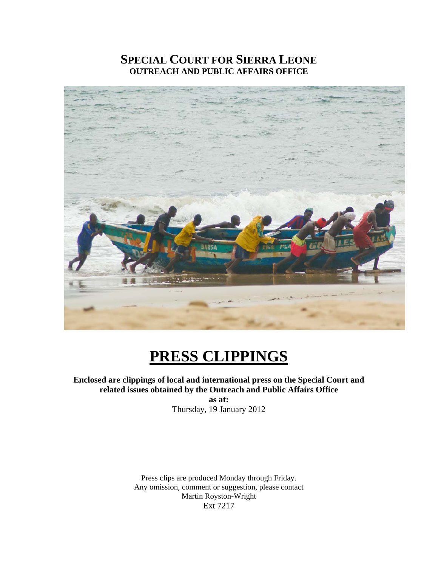#### **SPECIAL COURT FOR SIERRA LEONE OUTREACH AND PUBLIC AFFAIRS OFFICE**



## **PRESS CLIPPINGS**

#### **Enclosed are clippings of local and international press on the Special Court and related issues obtained by the Outreach and Public Affairs Office**

**as at:**  Thursday, 19 January 2012

Press clips are produced Monday through Friday. Any omission, comment or suggestion, please contact Martin Royston-Wright Ext 7217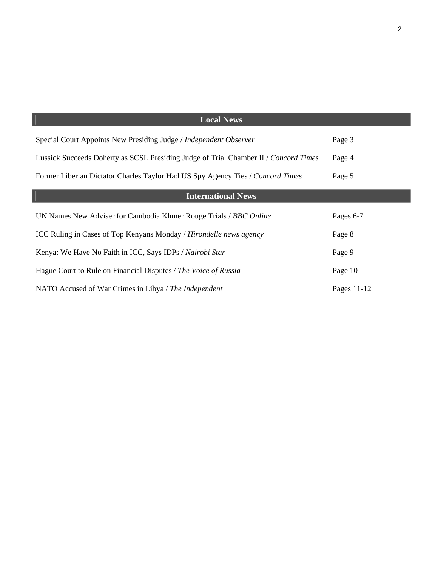| <b>Local News</b>                                                                    |             |
|--------------------------------------------------------------------------------------|-------------|
| Special Court Appoints New Presiding Judge / Independent Observer                    | Page 3      |
| Lussick Succeeds Doherty as SCSL Presiding Judge of Trial Chamber II / Concord Times | Page 4      |
| Former Liberian Dictator Charles Taylor Had US Spy Agency Ties / Concord Times       | Page 5      |
| <b>International News</b>                                                            |             |
| UN Names New Adviser for Cambodia Khmer Rouge Trials / BBC Online                    | Pages 6-7   |
| ICC Ruling in Cases of Top Kenyans Monday / Hirondelle news agency                   | Page 8      |
| Kenya: We Have No Faith in ICC, Says IDPs / Nairobi Star                             | Page 9      |
| Hague Court to Rule on Financial Disputes / The Voice of Russia                      | Page 10     |
| NATO Accused of War Crimes in Libya / The Independent                                | Pages 11-12 |
|                                                                                      |             |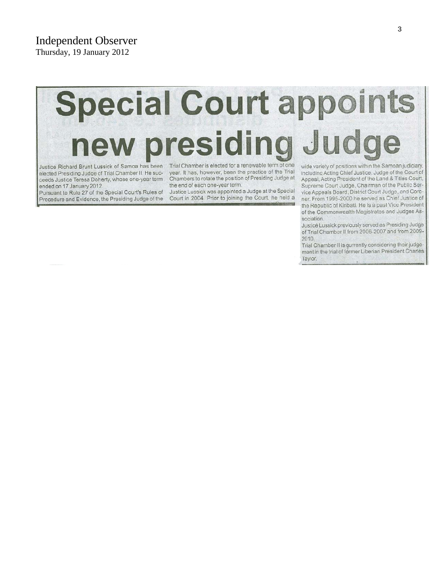**Independent Observer** Thursday, 19 January 2012

# **Special Court appoints** new presiding Jud

Justice Richard Brunt Lussick of Samoa has been elected Presiding Judge of Trial Chamber II. He succeeds Justice Teresa Doherty, whose one-year term ended on 17 January 2012.

Pursuant to Rule 27 of the Special Court's Rules of Procedure and Evidence, the Presiding Judge of the

Trial Chamber is elected for a renewable term of one year. It has, however, been the practice of the Trial Chambers to rotate the position of Presiding Judge at the end of each one-year term.

Justice Lussick was appointed a Judge at the Special Court in 2004. Prior to joining the Court, he held a wide variety of positions within the Samoan judiciary, including Acting Chief Justice, Judge of the Court of Appeal, Acting President of the Land & Titles Court, Supreme Court Judge, Chairman of the Public Service Appeals Board, District Court Judge, and Coroner. From 1995-2000 he served as Chief Justice of the Republic of Kiribati. He is a past Vice President of the Commonwealth Magistrates and Judges Association.

Justice Lussick previously served as Presiding Judge of Trial Chamber II from 2006-2007 and from 2009-2010.

Trial Chamber II is gurrently considering their judgement in the trial of former Liberian President Charles Taylor.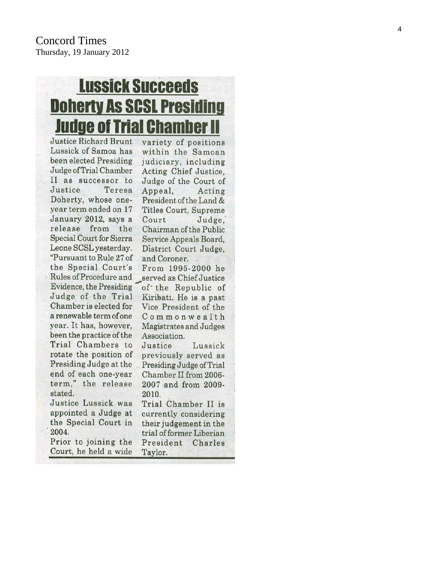## **Lussick Succeeds Doherty As SCSL Presiding Judge of Trial Chamber II**

Justice Richard Brunt Lussick of Samoa has been elected Presiding Judge of Trial Chamber II as successor to Justice Teresa Doherty, whose oneyear term ended on 17 January 2012, says a release from the **Special Court for Sierra** Leone SCSL yesterday. "Pursuant to Rule 27 of the Special Court's Rules of Procedure and served as Chief Justice Evidence, the Presiding Judge of the Trial Chamber is elected for a renewable term of one year. It has, however, been the practice of the Trial Chambers to rotate the position of Presiding Judge at the end of each one-year term." the release stated. Justice Lussick was appointed a Judge at

the Special Court in

Prior to joining the

Court, he held a wide

2004.

variety of positions within the Samoan judiciary, including Acting Chief Justice, Judge of the Court of Appeal. Acting President of the Land & **Titles Court, Supreme** Court Judge. Chairman of the Public Service Appeals Board, District Court Judge, and Coroner. From 1995-2000 he of the Republic of Kiribati. He is a past Vice President of the Commonwealth

Magistrates and Judges Association. Justice Lussick previously served as Presiding Judge of Trial Chamber II from 2006-2007 and from 2009-2010.

Trial Chamber II is currently considering their judgement in the trial of former Liberian President Charles Taylor.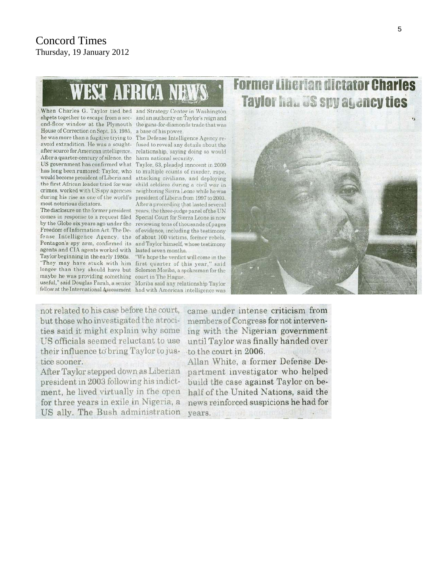# **WEST AFRICA NEWS**

sheets together to escape from a sec- and an authority on Taylor's reign and ond-floor window at the Plymouth the guns-for-diamonds trade that was House of Correction on Sept. 15, 1985, a base of his power. he was more than a fugitive trying to The Defense Intelligence Agency reavoid extradition. He was a sought- fused to reveal any details about the after source for American intelligence. relationship, saying doing so would After a quarter-century of silence, the harm national security. US government has confirmed what Taylor, 63, pleaded innocent in 2009 has long been rumored: Taylor, who to multiple counts of murder, rape, would become president of Liberia and attacking civilians, and deploying the first African leader tried for war child soldiers during a civil war in crimes, worked with US spy agencies neighboring Sierra Leone while he was during his rise as one of the world's president of Liberia from 1997 to 2003. most notorious dictators.

comes in response to a request filed Special Court for Sierra Leone is now by the Globe six years ago under the reviewing tens of thousands of pages Freedom of Information Act. The De- of evidence, including the testimony fense Intelligence Agency, the of about 100 victims, former rebels, Pentagon's spy arm, confirmed its and Taylor himself, whose testimony agents and CIA agents worked with lasted seven months. Taylor beginning in the early 1980s. "We hope the verdict will come in the "They may have stuck with him first quarter of this year," said longer than they should have but Solomon Moriba, a spokesman for the maybe he was providing something court in The Hague. useful," șaid Douglas Farah, a senior Moriba said any relationship Taylor

When Charles G. Taylor tied bed and Strategy Center in Washington

After a proceeding that lasted several

The disclosure on the former president years, the three-judge panel of the UN

fellow at the International Assessment had with American intelligence was





not related to his case before the court, but those who investigated the atrocities said it might explain why some US officials seemed reluctant to use their influence to bring Taylor to jus-to the court in 2006. tice sooner.

After Taylor stepped down as Liberian president in 2003 following his indictment, he lived virtually in the open for three years in exile in Nigeria, a US ally. The Bush administration

came under intense criticism from members of Congress for not intervening with the Nigerian government until Taylor was finally handed over

Allan White, a former Defense Department investigator who helped build the case against Taylor on behalf of the United Nations, said the news reinforced suspicions he had for vears.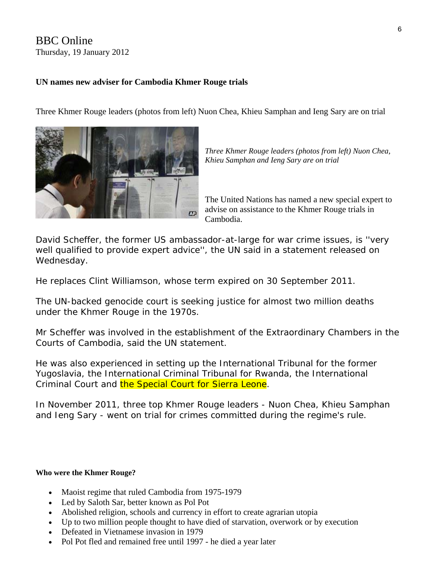#### BBC Online Thursday, 19 January 2012

#### **UN names new adviser for Cambodia Khmer Rouge trials**

Three Khmer Rouge leaders (photos from left) Nuon Chea, Khieu Samphan and Ieng Sary are on trial



*Three Khmer Rouge leaders (photos from left) Nuon Chea, Khieu Samphan and Ieng Sary are on trial* 

The United Nations has named a new special expert to advise on assistance to the Khmer Rouge trials in Cambodia.

David Scheffer, the former US ambassador-at-large for war crime issues, is ''very well qualified to provide expert advice'', the UN said in a statement released on Wednesday.

He replaces Clint Williamson, whose term expired on 30 September 2011.

The UN-backed genocide court is seeking justice for almost two million deaths under the Khmer Rouge in the 1970s.

Mr Scheffer was involved in the establishment of the Extraordinary Chambers in the Courts of Cambodia, said the [UN statement](http://www.un.org/News/Press/docs/2012/sga1318.doc.htm).

He was also experienced in setting up the International Tribunal for the former Yugoslavia, the International Criminal Tribunal for Rwanda, the International Criminal Court and the Special Court for Sierra Leone.

In November 2011, three top Khmer Rouge leaders - Nuon Chea, Khieu Samphan and Ieng Sary - went on trial for crimes committed during the regime's rule.

#### **Who were the Khmer Rouge?**

- Maoist regime that ruled Cambodia from 1975-1979
- Led by Saloth Sar, better known as Pol Pot
- Abolished religion, schools and currency in effort to create agrarian utopia
- Up to two million people thought to have died of starvation, overwork or by execution
- Defeated in Vietnamese invasion in 1979
- Pol Pot fled and remained free until 1997 he died a year later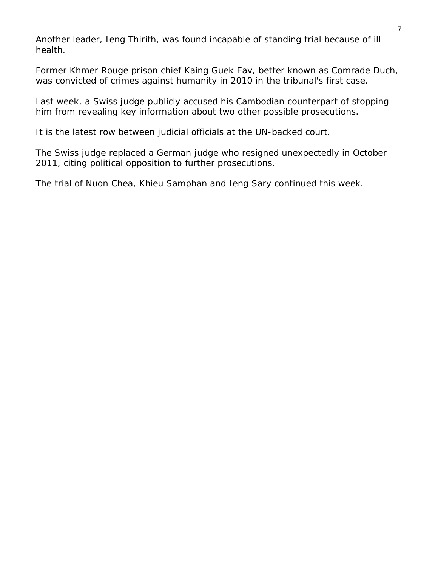Another leader, Ieng Thirith, was found incapable of standing trial because of ill health.

Former Khmer Rouge prison chief Kaing Guek Eav, better known as Comrade Duch, was convicted of crimes against humanity in 2010 in the tribunal's first case.

Last week, a Swiss judge publicly accused his Cambodian counterpart of stopping him from revealing key information about two other possible prosecutions.

It is the latest row between judicial officials at the UN-backed court.

The Swiss judge replaced a German judge who resigned unexpectedly in October 2011, citing political opposition to further prosecutions.

The trial of Nuon Chea, Khieu Samphan and Ieng Sary continued this week.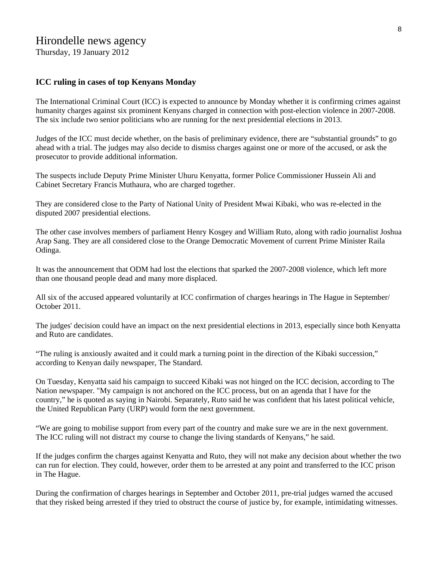#### Hirondelle news agency

Thursday, 19 January 2012

#### **ICC ruling in cases of top Kenyans Monday**

The International Criminal Court (ICC) is expected to announce by Monday whether it is confirming crimes against humanity charges against six prominent Kenyans charged in connection with post-election violence in 2007-2008. The six include two senior politicians who are running for the next presidential elections in 2013.

Judges of the ICC must decide whether, on the basis of preliminary evidence, there are "substantial grounds" to go ahead with a trial. The judges may also decide to dismiss charges against one or more of the accused, or ask the prosecutor to provide additional information.

The suspects include Deputy Prime Minister Uhuru Kenyatta, former Police Commissioner Hussein Ali and Cabinet Secretary Francis Muthaura, who are charged together.

They are considered close to the Party of National Unity of President Mwai Kibaki, who was re-elected in the disputed 2007 presidential elections.

The other case involves members of parliament Henry Kosgey and William Ruto, along with radio journalist Joshua Arap Sang. They are all considered close to the Orange Democratic Movement of current Prime Minister Raila Odinga.

It was the announcement that ODM had lost the elections that sparked the 2007-2008 violence, which left more than one thousand people dead and many more displaced.

All six of the accused appeared voluntarily at ICC confirmation of charges hearings in The Hague in September/ October 2011.

The judges' decision could have an impact on the next presidential elections in 2013, especially since both Kenyatta and Ruto are candidates.

"The ruling is anxiously awaited and it could mark a turning point in the direction of the Kibaki succession," according to Kenyan daily newspaper, The Standard.

On Tuesday, Kenyatta said his campaign to succeed Kibaki was not hinged on the ICC decision, according to The Nation newspaper. "My campaign is not anchored on the ICC process, but on an agenda that I have for the country," he is quoted as saying in Nairobi. Separately, Ruto said he was confident that his latest political vehicle, the United Republican Party (URP) would form the next government.

"We are going to mobilise support from every part of the country and make sure we are in the next government. The ICC ruling will not distract my course to change the living standards of Kenyans," he said.

If the judges confirm the charges against Kenyatta and Ruto, they will not make any decision about whether the two can run for election. They could, however, order them to be arrested at any point and transferred to the ICC prison in The Hague.

During the confirmation of charges hearings in September and October 2011, pre-trial judges warned the accused that they risked being arrested if they tried to obstruct the course of justice by, for example, intimidating witnesses.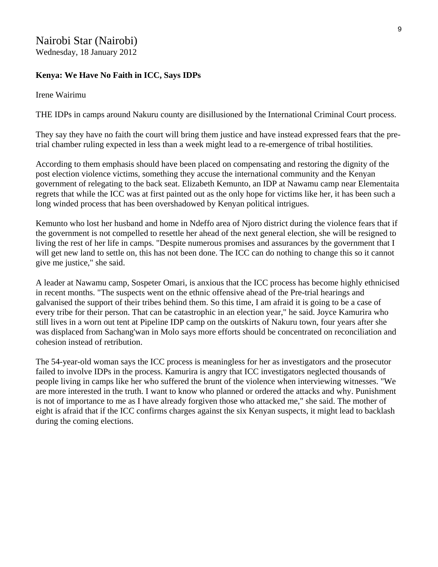#### Nairobi Star (Nairobi) Wednesday, 18 January 2012

#### **Kenya: We Have No Faith in ICC, Says IDPs**

Irene Wairimu

THE IDPs in camps around Nakuru county are disillusioned by the International Criminal Court process.

They say they have no faith the court will bring them justice and have instead expressed fears that the pretrial chamber ruling expected in less than a week might lead to a re-emergence of tribal hostilities.

According to them emphasis should have been placed on compensating and restoring the dignity of the post election violence victims, something they accuse the international community and the Kenyan government of relegating to the back seat. Elizabeth Kemunto, an IDP at Nawamu camp near Elementaita regrets that while the ICC was at first painted out as the only hope for victims like her, it has been such a long winded process that has been overshadowed by Kenyan political intrigues.

Kemunto who lost her husband and home in Ndeffo area of Njoro district during the violence fears that if the government is not compelled to resettle her ahead of the next general election, she will be resigned to living the rest of her life in camps. "Despite numerous promises and assurances by the government that I will get new land to settle on, this has not been done. The ICC can do nothing to change this so it cannot give me justice," she said.

A leader at Nawamu camp, Sospeter Omari, is anxious that the ICC process has become highly ethnicised in recent months. "The suspects went on the ethnic offensive ahead of the Pre-trial hearings and galvanised the support of their tribes behind them. So this time, I am afraid it is going to be a case of every tribe for their person. That can be catastrophic in an election year," he said. Joyce Kamurira who still lives in a worn out tent at Pipeline IDP camp on the outskirts of Nakuru town, four years after she was displaced from Sachang'wan in Molo says more efforts should be concentrated on reconciliation and cohesion instead of retribution.

The 54-year-old woman says the ICC process is meaningless for her as investigators and the prosecutor failed to involve IDPs in the process. Kamurira is angry that ICC investigators neglected thousands of people living in camps like her who suffered the brunt of the violence when interviewing witnesses. "We are more interested in the truth. I want to know who planned or ordered the attacks and why. Punishment is not of importance to me as I have already forgiven those who attacked me," she said. The mother of eight is afraid that if the ICC confirms charges against the six Kenyan suspects, it might lead to backlash during the coming elections.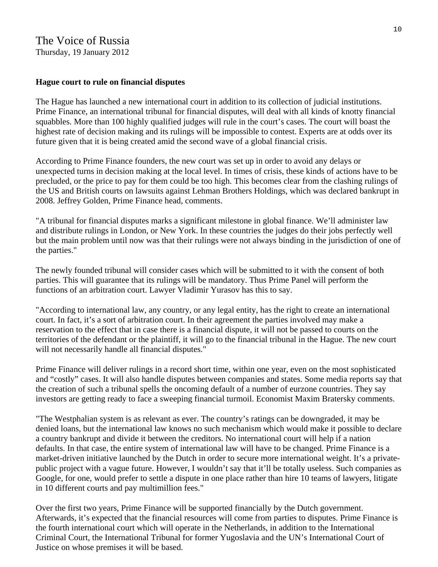#### The Voice of Russia

Thursday, 19 January 2012

#### **Hague court to rule on financial disputes**

The Hague has launched a new international court in addition to its collection of judicial institutions. Prime Finance, an international tribunal for financial disputes, will deal with all kinds of knotty financial squabbles. More than 100 highly qualified judges will rule in the court's cases. The court will boast the highest rate of decision making and its rulings will be impossible to contest. Experts are at odds over its future given that it is being created amid the second wave of a global financial crisis.

According to Prime Finance founders, the new court was set up in order to avoid any delays or unexpected turns in decision making at the local level. In times of crisis, these kinds of actions have to be precluded, or the price to pay for them could be too high. This becomes clear from the clashing rulings of the US and British courts on lawsuits against Lehman Brothers Holdings, which was declared bankrupt in 2008. Jeffrey Golden, Prime Finance head, comments.

"A tribunal for financial disputes marks a significant milestone in global finance. We'll administer law and distribute rulings in London, or New York. In these countries the judges do their jobs perfectly well but the main problem until now was that their rulings were not always binding in the jurisdiction of one of the parties."

The newly founded tribunal will consider cases which will be submitted to it with the consent of both parties. This will guarantee that its rulings will be mandatory. Thus Prime Panel will perform the functions of an arbitration court. Lawyer Vladimir Yurasov has this to say.

"According to international law, any country, or any legal entity, has the right to create an international court. In fact, it's a sort of arbitration court. In their agreement the parties involved may make a reservation to the effect that in case there is a financial dispute, it will not be passed to courts on the territories of the defendant or the plaintiff, it will go to the financial tribunal in the Hague. The new court will not necessarily handle all financial disputes."

Prime Finance will deliver rulings in a record short time, within one year, even on the most sophisticated and "costly" cases. It will also handle disputes between companies and states. Some media reports say that the creation of such a tribunal spells the oncoming default of a number of eurzone countries. They say investors are getting ready to face a sweeping financial turmoil. Economist Maxim Bratersky comments.

"The Westphalian system is as relevant as ever. The country's ratings can be downgraded, it may be denied loans, but the international law knows no such mechanism which would make it possible to declare a country bankrupt and divide it between the creditors. No international court will help if a nation defaults. In that case, the entire system of international law will have to be changed. Prime Finance is a market-driven initiative launched by the Dutch in order to secure more international weight. It's a privatepublic project with a vague future. However, I wouldn't say that it'll be totally useless. Such companies as Google, for one, would prefer to settle a dispute in one place rather than hire 10 teams of lawyers, litigate in 10 different courts and pay multimillion fees."

Over the first two years, Prime Finance will be supported financially by the Dutch government. Afterwards, it's expected that the financial resources will come from parties to disputes. Prime Finance is the fourth international court which will operate in the Netherlands, in addition to the International Criminal Court, the International Tribunal for former Yugoslavia and the UN's International Court of Justice on whose premises it will be based.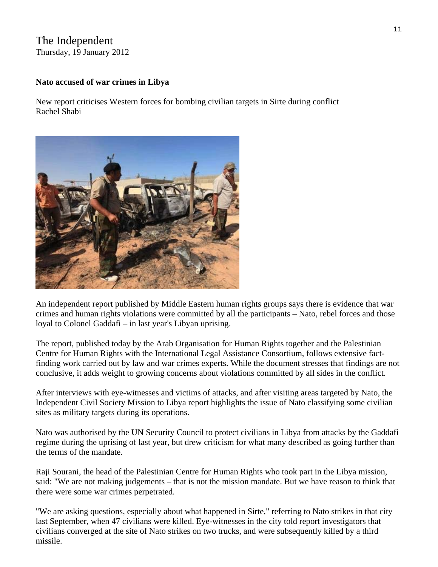### The Independent

Thursday, 19 January 2012

#### **Nato accused of war crimes in Libya**

New report criticises Western forces for bombing civilian targets in Sirte during conflict Rachel Shabi



An independent report published by Middle Eastern human rights groups says there is evidence that war crimes and human rights violations were committed by all the participants – Nato, rebel forces and those loyal to Colonel Gaddafi – in last year's Libyan uprising.

The report, published today by the Arab Organisation for Human Rights together and the Palestinian Centre for Human Rights with the International Legal Assistance Consortium, follows extensive factfinding work carried out by law and war crimes experts. While the document stresses that findings are not conclusive, it adds weight to growing concerns about violations committed by all sides in the conflict.

After interviews with eye-witnesses and victims of attacks, and after visiting areas targeted by Nato, the Independent Civil Society Mission to Libya report highlights the issue of Nato classifying some civilian sites as military targets during its operations.

Nato was authorised by the UN Security Council to protect civilians in Libya from attacks by the Gaddafi regime during the uprising of last year, but drew criticism for what many described as going further than the terms of the mandate.

Raji Sourani, the head of the Palestinian Centre for Human Rights who took part in the Libya mission, said: "We are not making judgements – that is not the mission mandate. But we have reason to think that there were some war crimes perpetrated.

"We are asking questions, especially about what happened in Sirte," referring to Nato strikes in that city last September, when 47 civilians were killed. Eye-witnesses in the city told report investigators that civilians converged at the site of Nato strikes on two trucks, and were subsequently killed by a third missile.